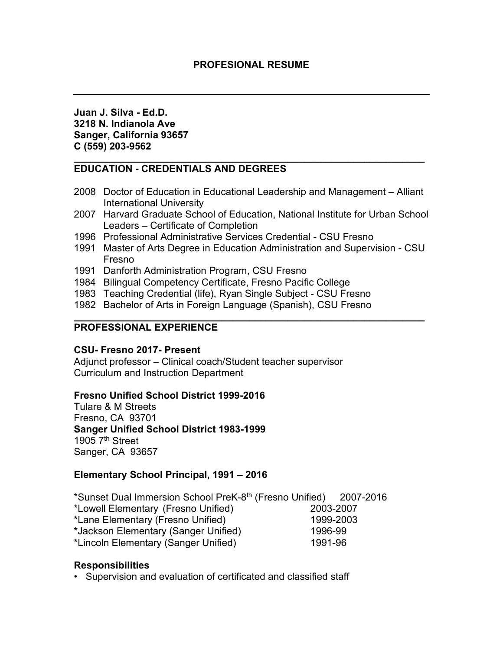**Juan J. Silva - Ed.D. 3218 N. Indianola Ave Sanger, California 93657 C (559) 203-9562**

### **\_\_\_\_\_\_\_\_\_\_\_\_\_\_\_\_\_\_\_\_\_\_\_\_\_\_\_\_\_\_\_\_\_\_\_\_\_\_\_\_\_\_\_\_\_\_\_\_\_\_\_\_\_\_\_\_\_\_\_\_\_\_\_\_ EDUCATION - CREDENTIALS AND DEGREES**

- 2008 Doctor of Education in Educational Leadership and Management Alliant International University
- 2007 Harvard Graduate School of Education, National Institute for Urban School Leaders – Certificate of Completion
- 1996 Professional Administrative Services Credential CSU Fresno
- 1991 Master of Arts Degree in Education Administration and Supervision CSU Fresno
- 1991 Danforth Administration Program, CSU Fresno
- 1984 Bilingual Competency Certificate, Fresno Pacific College
- 1983 Teaching Credential (life), Ryan Single Subject CSU Fresno
- 1982 Bachelor of Arts in Foreign Language (Spanish), CSU Fresno

#### **\_\_\_\_\_\_\_\_\_\_\_\_\_\_\_\_\_\_\_\_\_\_\_\_\_\_\_\_\_\_\_\_\_\_\_\_\_\_\_\_\_\_\_\_\_\_\_\_\_\_\_\_\_\_\_\_\_\_\_\_\_\_\_\_ PROFESSIONAL EXPERIENCE**

### **CSU- Fresno 2017- Present**

Adjunct professor – Clinical coach/Student teacher supervisor Curriculum and Instruction Department

# **Fresno Unified School District 1999-2016**

Tulare & M Streets Fresno, CA 93701 **Sanger Unified School District 1983-1999** 1905  $7<sup>th</sup>$  Street Sanger, CA 93657

# **Elementary School Principal, 1991 – 2016**

\*Sunset Dual Immersion School PreK-8th (Fresno Unified) 2007-2016 \*Lowell Elementary (Fresno Unified) 2003-2007 \*Lane Elementary (Fresno Unified) 1999-2003 **\***Jackson Elementary (Sanger Unified) 1996-99 \*Lincoln Elementary (Sanger Unified) 1991-96

# **Responsibilities**

• Supervision and evaluation of certificated and classified staff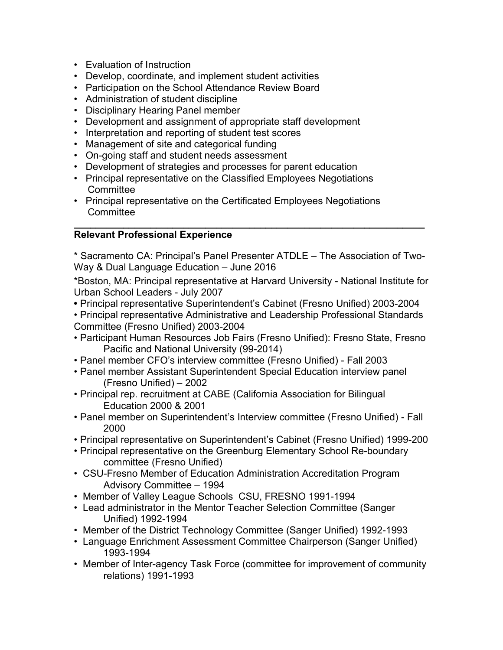- Evaluation of Instruction
- Develop, coordinate, and implement student activities
- Participation on the School Attendance Review Board
- Administration of student discipline
- Disciplinary Hearing Panel member
- Development and assignment of appropriate staff development
- Interpretation and reporting of student test scores
- Management of site and categorical funding
- On-going staff and student needs assessment
- Development of strategies and processes for parent education
- Principal representative on the Classified Employees Negotiations **Committee**
- Principal representative on the Certificated Employees Negotiations **Committee**

#### **\_\_\_\_\_\_\_\_\_\_\_\_\_\_\_\_\_\_\_\_\_\_\_\_\_\_\_\_\_\_\_\_\_\_\_\_\_\_\_\_\_\_\_\_\_\_\_\_\_\_\_\_\_\_\_\_\_\_\_\_\_\_\_\_ Relevant Professional Experience**

\* Sacramento CA: Principal's Panel Presenter ATDLE – The Association of Two-Way & Dual Language Education – June 2016

\*Boston, MA: Principal representative at Harvard University - National Institute for Urban School Leaders - July 2007

- Principal representative Superintendent's Cabinet (Fresno Unified) 2003-2004
- Principal representative Administrative and Leadership Professional Standards Committee (Fresno Unified) 2003-2004
- Participant Human Resources Job Fairs (Fresno Unified): Fresno State, Fresno Pacific and National University (99-2014)
- Panel member CFO's interview committee (Fresno Unified) Fall 2003
- Panel member Assistant Superintendent Special Education interview panel (Fresno Unified) – 2002
- Principal rep. recruitment at CABE (California Association for Bilingual Education 2000 & 2001
- Panel member on Superintendent's Interview committee (Fresno Unified) Fall 2000
- Principal representative on Superintendent's Cabinet (Fresno Unified) 1999-200
- Principal representative on the Greenburg Elementary School Re-boundary committee (Fresno Unified)
- CSU-Fresno Member of Education Administration Accreditation Program Advisory Committee – 1994
- Member of Valley League Schools CSU, FRESNO 1991-1994
- Lead administrator in the Mentor Teacher Selection Committee (Sanger Unified) 1992-1994
- Member of the District Technology Committee (Sanger Unified) 1992-1993
- Language Enrichment Assessment Committee Chairperson (Sanger Unified) 1993-1994
- Member of Inter-agency Task Force (committee for improvement of community relations) 1991-1993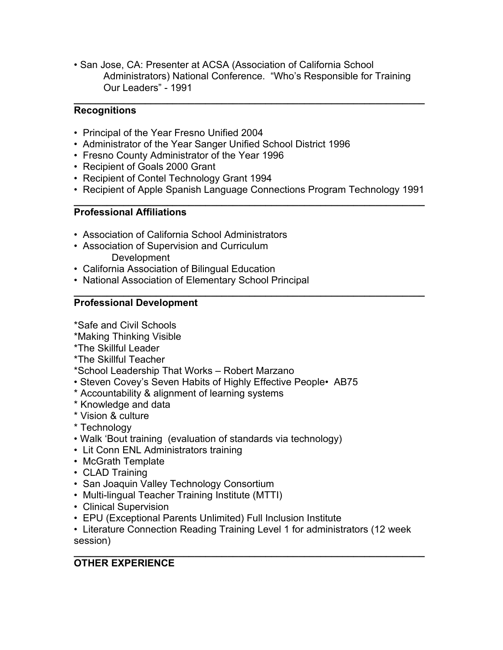• San Jose, CA: Presenter at ACSA (Association of California School Administrators) National Conference. "Who's Responsible for Training Our Leaders" - 1991

### **\_\_\_\_\_\_\_\_\_\_\_\_\_\_\_\_\_\_\_\_\_\_\_\_\_\_\_\_\_\_\_\_\_\_\_\_\_\_\_\_\_\_\_\_\_\_\_\_\_\_\_\_\_\_\_\_\_\_\_\_\_\_\_\_ Recognitions**

- Principal of the Year Fresno Unified 2004
- Administrator of the Year Sanger Unified School District 1996
- Fresno County Administrator of the Year 1996
- Recipient of Goals 2000 Grant
- Recipient of Contel Technology Grant 1994
- Recipient of Apple Spanish Language Connections Program Technology 1991

#### **\_\_\_\_\_\_\_\_\_\_\_\_\_\_\_\_\_\_\_\_\_\_\_\_\_\_\_\_\_\_\_\_\_\_\_\_\_\_\_\_\_\_\_\_\_\_\_\_\_\_\_\_\_\_\_\_\_\_\_\_\_\_\_\_ Professional Affiliations**

- Association of California School Administrators
- Association of Supervision and Curriculum
	- **Development**
- California Association of Bilingual Education
- National Association of Elementary School Principal

#### **\_\_\_\_\_\_\_\_\_\_\_\_\_\_\_\_\_\_\_\_\_\_\_\_\_\_\_\_\_\_\_\_\_\_\_\_\_\_\_\_\_\_\_\_\_\_\_\_\_\_\_\_\_\_\_\_\_\_\_\_\_\_\_\_ Professional Development**

\*Safe and Civil Schools

- \*Making Thinking Visible
- \*The Skillful Leader
- \*The Skillful Teacher

\*School Leadership That Works – Robert Marzano

- Steven Covey's Seven Habits of Highly Effective People• AB75
- \* Accountability & alignment of learning systems
- \* Knowledge and data
- \* Vision & culture
- \* Technology
- Walk 'Bout training (evaluation of standards via technology)
- Lit Conn ENL Administrators training
- McGrath Template
- CLAD Training
- San Joaquin Valley Technology Consortium
- Multi-lingual Teacher Training Institute (MTTI)
- Clinical Supervision
- EPU (Exceptional Parents Unlimited) Full Inclusion Institute
- Literature Connection Reading Training Level 1 for administrators (12 week session)

### **\_\_\_\_\_\_\_\_\_\_\_\_\_\_\_\_\_\_\_\_\_\_\_\_\_\_\_\_\_\_\_\_\_\_\_\_\_\_\_\_\_\_\_\_\_\_\_\_\_\_\_\_\_\_\_\_\_\_\_\_\_\_\_\_ OTHER EXPERIENCE**